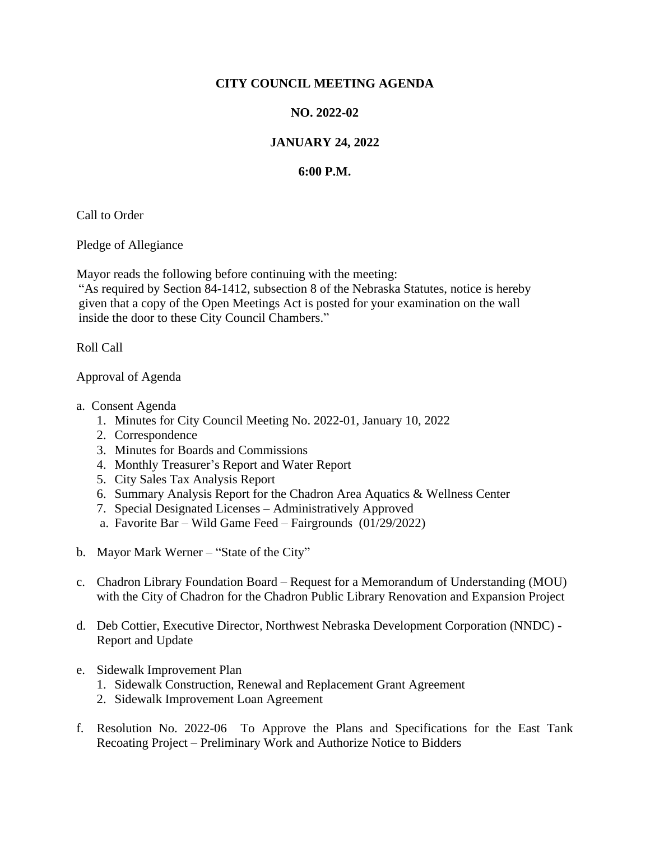## **CITY COUNCIL MEETING AGENDA**

## **NO. 2022-02**

## **JANUARY 24, 2022**

## **6:00 P.M.**

Call to Order

Pledge of Allegiance

Mayor reads the following before continuing with the meeting:

"As required by Section 84-1412, subsection 8 of the Nebraska Statutes, notice is hereby given that a copy of the Open Meetings Act is posted for your examination on the wall inside the door to these City Council Chambers."

Roll Call

Approval of Agenda

- a. Consent Agenda
	- 1. Minutes for City Council Meeting No. 2022-01, January 10, 2022
	- 2. Correspondence
	- 3. Minutes for Boards and Commissions
	- 4. Monthly Treasurer's Report and Water Report
	- 5. City Sales Tax Analysis Report
	- 6. Summary Analysis Report for the Chadron Area Aquatics & Wellness Center
	- 7. Special Designated Licenses Administratively Approved
	- a. Favorite Bar Wild Game Feed Fairgrounds (01/29/2022)
- b. Mayor Mark Werner "State of the City"
- c. Chadron Library Foundation Board Request for a Memorandum of Understanding (MOU) with the City of Chadron for the Chadron Public Library Renovation and Expansion Project
- d. Deb Cottier, Executive Director, Northwest Nebraska Development Corporation (NNDC) Report and Update
- e. Sidewalk Improvement Plan
	- 1. Sidewalk Construction, Renewal and Replacement Grant Agreement
	- 2. Sidewalk Improvement Loan Agreement
- f. Resolution No. 2022-06 To Approve the Plans and Specifications for the East Tank Recoating Project – Preliminary Work and Authorize Notice to Bidders